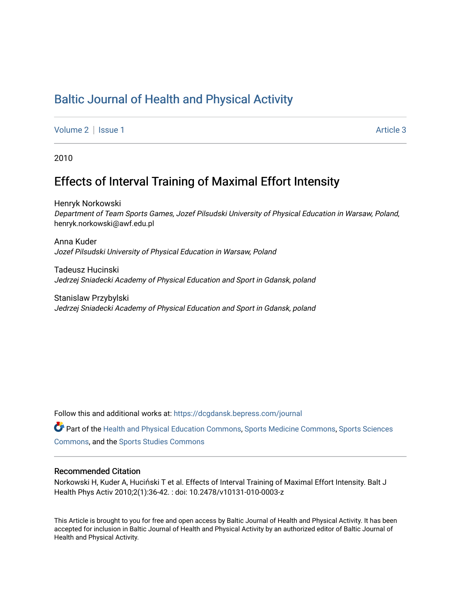# [Baltic Journal of Health and Physical Activity](https://dcgdansk.bepress.com/journal)

[Volume 2](https://dcgdansk.bepress.com/journal/vol2) | [Issue 1](https://dcgdansk.bepress.com/journal/vol2/iss1) Article 3

2010

# Effects of Interval Training of Maximal Effort Intensity

Henryk Norkowski Department of Team Sports Games, Jozef Pilsudski University of Physical Education in Warsaw, Poland, henryk.norkowski@awf.edu.pl

Anna Kuder Jozef Pilsudski University of Physical Education in Warsaw, Poland

Tadeusz Hucinski Jedrzej Sniadecki Academy of Physical Education and Sport in Gdansk, poland

Stanislaw Przybylski Jedrzej Sniadecki Academy of Physical Education and Sport in Gdansk, poland

Follow this and additional works at: [https://dcgdansk.bepress.com/journal](https://dcgdansk.bepress.com/journal?utm_source=dcgdansk.bepress.com%2Fjournal%2Fvol2%2Fiss1%2F3&utm_medium=PDF&utm_campaign=PDFCoverPages)

Part of the [Health and Physical Education Commons](http://network.bepress.com/hgg/discipline/1327?utm_source=dcgdansk.bepress.com%2Fjournal%2Fvol2%2Fiss1%2F3&utm_medium=PDF&utm_campaign=PDFCoverPages), [Sports Medicine Commons,](http://network.bepress.com/hgg/discipline/1331?utm_source=dcgdansk.bepress.com%2Fjournal%2Fvol2%2Fiss1%2F3&utm_medium=PDF&utm_campaign=PDFCoverPages) [Sports Sciences](http://network.bepress.com/hgg/discipline/759?utm_source=dcgdansk.bepress.com%2Fjournal%2Fvol2%2Fiss1%2F3&utm_medium=PDF&utm_campaign=PDFCoverPages) [Commons](http://network.bepress.com/hgg/discipline/759?utm_source=dcgdansk.bepress.com%2Fjournal%2Fvol2%2Fiss1%2F3&utm_medium=PDF&utm_campaign=PDFCoverPages), and the [Sports Studies Commons](http://network.bepress.com/hgg/discipline/1198?utm_source=dcgdansk.bepress.com%2Fjournal%2Fvol2%2Fiss1%2F3&utm_medium=PDF&utm_campaign=PDFCoverPages) 

#### Recommended Citation

Norkowski H, Kuder A, Huciński T et al. Effects of Interval Training of Maximal Effort Intensity. Balt J Health Phys Activ 2010;2(1):36-42. : doi: 10.2478/v10131-010-0003-z

This Article is brought to you for free and open access by Baltic Journal of Health and Physical Activity. It has been accepted for inclusion in Baltic Journal of Health and Physical Activity by an authorized editor of Baltic Journal of Health and Physical Activity.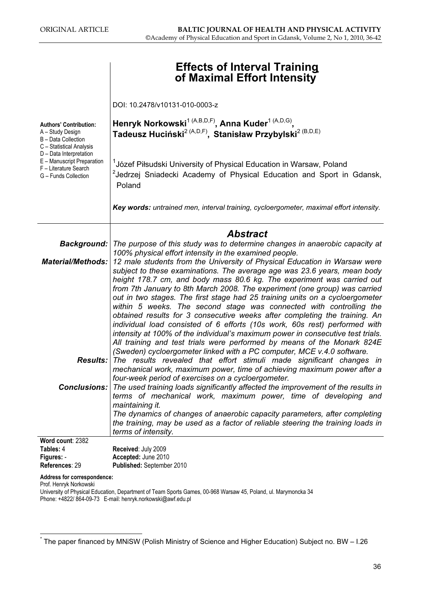|                                                                                                        | <b>Effects of Interval Training</b><br>of Maximal Effort Intensity                                                                                                                                                                                                                                                                                                                                                                                                                                                                                                                                                                                                                                                                                                                          |  |  |  |  |  |  |  |
|--------------------------------------------------------------------------------------------------------|---------------------------------------------------------------------------------------------------------------------------------------------------------------------------------------------------------------------------------------------------------------------------------------------------------------------------------------------------------------------------------------------------------------------------------------------------------------------------------------------------------------------------------------------------------------------------------------------------------------------------------------------------------------------------------------------------------------------------------------------------------------------------------------------|--|--|--|--|--|--|--|
|                                                                                                        | DOI: 10.2478/v10131-010-0003-z                                                                                                                                                                                                                                                                                                                                                                                                                                                                                                                                                                                                                                                                                                                                                              |  |  |  |  |  |  |  |
| <b>Authors' Contribution:</b><br>A - Study Design<br>B - Data Collection<br>C - Statistical Analysis   | Henryk Norkowski <sup>1 (A,B,D,F)</sup> , Anna Kuder <sup>1 (A,D,G)</sup> ,<br>Tadeusz Huciński <sup>2 (A,D,F)</sup> , Stanisław Przybylski <sup>2 (B,D,E)</sup>                                                                                                                                                                                                                                                                                                                                                                                                                                                                                                                                                                                                                            |  |  |  |  |  |  |  |
| D - Data Interpretation<br>E - Manuscript Preparation<br>F - Literature Search<br>G - Funds Collection | <sup>1</sup> Józef Piłsudski University of Physical Education in Warsaw, Poland<br><sup>2</sup> Jedrzej Sniadecki Academy of Physical Education and Sport in Gdansk,<br>Poland                                                                                                                                                                                                                                                                                                                                                                                                                                                                                                                                                                                                              |  |  |  |  |  |  |  |
|                                                                                                        | Key words: untrained men, interval training, cycloergometer, maximal effort intensity.                                                                                                                                                                                                                                                                                                                                                                                                                                                                                                                                                                                                                                                                                                      |  |  |  |  |  |  |  |
|                                                                                                        | <b>Abstract</b>                                                                                                                                                                                                                                                                                                                                                                                                                                                                                                                                                                                                                                                                                                                                                                             |  |  |  |  |  |  |  |
| <b>Background:</b>                                                                                     | The purpose of this study was to determine changes in anaerobic capacity at                                                                                                                                                                                                                                                                                                                                                                                                                                                                                                                                                                                                                                                                                                                 |  |  |  |  |  |  |  |
| <b>Material/Methods:</b>                                                                               | 100% physical effort intensity in the examined people.<br>12 male students from the University of Physical Education in Warsaw were                                                                                                                                                                                                                                                                                                                                                                                                                                                                                                                                                                                                                                                         |  |  |  |  |  |  |  |
|                                                                                                        | subject to these examinations. The average age was 23.6 years, mean body<br>height 178.7 cm, and body mass 80.6 kg. The experiment was carried out<br>from 7th January to 8th March 2008. The experiment (one group) was carried<br>out in two stages. The first stage had 25 training units on a cycloergometer<br>within 5 weeks. The second stage was connected with controlling the<br>obtained results for 3 consecutive weeks after completing the training. An<br>individual load consisted of 6 efforts (10s work, 60s rest) performed with<br>intensity at 100% of the individual's maximum power in consecutive test trials.<br>All training and test trials were performed by means of the Monark 824E<br>(Sweden) cycloergometer linked with a PC computer, MCE v.4.0 software. |  |  |  |  |  |  |  |
| Results:                                                                                               | The results revealed that effort stimuli made significant changes in<br>mechanical work, maximum power, time of achieving maximum power after a                                                                                                                                                                                                                                                                                                                                                                                                                                                                                                                                                                                                                                             |  |  |  |  |  |  |  |
|                                                                                                        | four-week period of exercises on a cycloergometer.                                                                                                                                                                                                                                                                                                                                                                                                                                                                                                                                                                                                                                                                                                                                          |  |  |  |  |  |  |  |
|                                                                                                        | <b>Conclusions:</b> The used training loads significantly affected the improvement of the results in<br>terms of mechanical work, maximum power, time of developing and<br>maintaining it.<br>The dynamics of changes of anaerobic capacity parameters, after completing<br>the training, may be used as a factor of reliable steering the training loads in<br>terms of intensity.                                                                                                                                                                                                                                                                                                                                                                                                         |  |  |  |  |  |  |  |
| Word count: 2382                                                                                       |                                                                                                                                                                                                                                                                                                                                                                                                                                                                                                                                                                                                                                                                                                                                                                                             |  |  |  |  |  |  |  |
| Tables: 4                                                                                              | Received: July 2009                                                                                                                                                                                                                                                                                                                                                                                                                                                                                                                                                                                                                                                                                                                                                                         |  |  |  |  |  |  |  |
| Figures: -                                                                                             | Accepted: June 2010                                                                                                                                                                                                                                                                                                                                                                                                                                                                                                                                                                                                                                                                                                                                                                         |  |  |  |  |  |  |  |
| References: 29                                                                                         | Published: September 2010                                                                                                                                                                                                                                                                                                                                                                                                                                                                                                                                                                                                                                                                                                                                                                   |  |  |  |  |  |  |  |

Address for correspondence:

Prof. Henryk Norkowski

University of Physical Education, Department of Team Sports Games, 00-968 Warsaw 45, Poland, ul. Marymoncka 34 Phone: +4822/ 864-09-73 E-mail: henryk.norkowski@awf.edu.pl

<sup>\*</sup> The paper financed by MNiSW (Polish Ministry of Science and Higher Education) Subject no. BW – I.26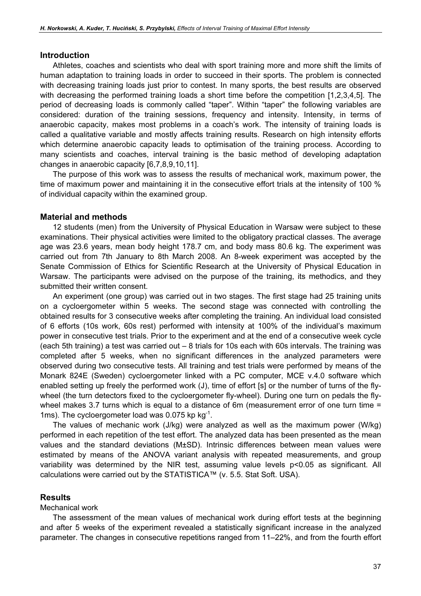### **Introduction**

Athletes, coaches and scientists who deal with sport training more and more shift the limits of human adaptation to training loads in order to succeed in their sports. The problem is connected with decreasing training loads just prior to contest. In many sports, the best results are observed with decreasing the performed training loads a short time before the competition [1,2,3,4,5]. The period of decreasing loads is commonly called "taper". Within "taper" the following variables are considered: duration of the training sessions, frequency and intensity. Intensity, in terms of anaerobic capacity, makes most problems in a coach's work. The intensity of training loads is called a qualitative variable and mostly affects training results. Research on high intensity efforts which determine anaerobic capacity leads to optimisation of the training process. According to many scientists and coaches, interval training is the basic method of developing adaptation changes in anaerobic capacity [6,7,8,9,10,11].

The purpose of this work was to assess the results of mechanical work, maximum power, the time of maximum power and maintaining it in the consecutive effort trials at the intensity of 100 % of individual capacity within the examined group.

### Material and methods

12 students (men) from the University of Physical Education in Warsaw were subject to these examinations. Their physical activities were limited to the obligatory practical classes. The average age was 23.6 years, mean body height 178.7 cm, and body mass 80.6 kg. The experiment was carried out from 7th January to 8th March 2008. An 8-week experiment was accepted by the Senate Commission of Ethics for Scientific Research at the University of Physical Education in Warsaw. The participants were advised on the purpose of the training, its methodics, and they submitted their written consent.

An experiment (one group) was carried out in two stages. The first stage had 25 training units on a cycloergometer within 5 weeks. The second stage was connected with controlling the obtained results for 3 consecutive weeks after completing the training. An individual load consisted of 6 efforts (10s work, 60s rest) performed with intensity at 100% of the individual's maximum power in consecutive test trials. Prior to the experiment and at the end of a consecutive week cycle (each 5th training) a test was carried out – 8 trials for 10s each with 60s intervals. The training was completed after 5 weeks, when no significant differences in the analyzed parameters were observed during two consecutive tests. All training and test trials were performed by means of the Monark 824E (Sweden) cycloergometer linked with a PC computer, MCE v.4.0 software which enabled setting up freely the performed work (J), time of effort [s] or the number of turns of the flywheel (the turn detectors fixed to the cycloergometer fly-wheel). During one turn on pedals the flywheel makes 3.7 turns which is equal to a distance of 6m (measurement error of one turn time = 1ms). The cycloergometer load was 0.075 kp kg<sup>-1</sup>.

The values of mechanic work (J/kg) were analyzed as well as the maximum power (W/kg) performed in each repetition of the test effort. The analyzed data has been presented as the mean values and the standard deviations (M±SD). Intrinsic differences between mean values were estimated by means of the ANOVA variant analysis with repeated measurements, and group variability was determined by the NIR test, assuming value levels p<0.05 as significant. All calculations were carried out by the STATISTICA™ (v. 5.5. Stat Soft. USA).

### Results

### Mechanical work

The assessment of the mean values of mechanical work during effort tests at the beginning and after 5 weeks of the experiment revealed a statistically significant increase in the analyzed parameter. The changes in consecutive repetitions ranged from 11–22%, and from the fourth effort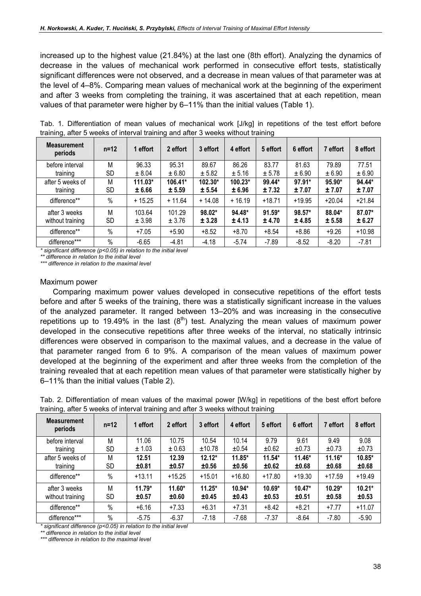increased up to the highest value (21.84%) at the last one (8th effort). Analyzing the dynamics of decrease in the values of mechanical work performed in consecutive effort tests, statistically significant differences were not observed, and a decrease in mean values of that parameter was at the level of 4–8%. Comparing mean values of mechanical work at the beginning of the experiment and after 3 weeks from completing the training, it was ascertained that at each repetition, mean values of that parameter were higher by 6–11% than the initial values (Table 1).

| Tab. 1. Differentiation of mean values of mechanical work [J/kg] in repetitions of the test effort before                                                                                                                            |  |  |  |  |  |  |  |  |  |  |
|--------------------------------------------------------------------------------------------------------------------------------------------------------------------------------------------------------------------------------------|--|--|--|--|--|--|--|--|--|--|
| training, after 5 weeks of interval training and after 3 weeks without training                                                                                                                                                      |  |  |  |  |  |  |  |  |  |  |
| <b>Balance and Contract Contract Contract Contract Contract Contract Contract Contract Contract Contract Contract Contract Contract Contract Contract Contract Contract Contract Contract Contract Contract Contract Contract Co</b> |  |  |  |  |  |  |  |  |  |  |

| <b>Measurement</b><br>periods | $n=12$    | 1 effort  | 2 effort | 3 effort | 4 effort  | 5 effort | 6 effort | 7 effort | 8 effort |
|-------------------------------|-----------|-----------|----------|----------|-----------|----------|----------|----------|----------|
| before interval               | M         | 96.33     | 95.31    | 89.67    | 86.26     | 83.77    | 81.63    | 79.89    | 77.51    |
| training                      | <b>SD</b> | ± 8.04    | ± 6.80   | ± 5.82   | ± 5.16    | ± 5.78   | ± 6.90   | ± 6.90   | ± 6.90   |
| after 5 weeks of              | М         | $111.03*$ | 106.41*  | 102.30*  | $100.23*$ | 99.44*   | 97.91*   | 95.90*   | 94.44*   |
| training                      | <b>SD</b> | ± 6.66    | ± 5.59   | ± 5.54   | ± 6.96    | ±7.32    | ±7.07    | ±7.07    | ±7.07    |
| difference**                  | $\%$      | $+15.25$  | $+11.64$ | $+14.08$ | $+16.19$  | $+18.71$ | $+19.95$ | $+20.04$ | $+21.84$ |
| after 3 weeks                 | M         | 103.64    | 101.29   | 98.02*   | 94.48*    | $91.59*$ | 98.57*   | 88.04*   | 87.07*   |
| without training              | SD        | ± 3.98    | ± 3.76   | ± 3.28   | ± 4.13    | ± 4.70   | ± 4.85   | ± 5.58   | ± 6.27   |
| difference**                  | $\%$      | $+7.05$   | $+5.90$  | $+8.52$  | $+8.70$   | $+8.54$  | $+8.86$  | $+9.26$  | $+10.98$ |
| difference***                 | $\%$      | $-6.65$   | $-4.81$  | $-4.18$  | $-5.74$   | $-7.89$  | $-8.52$  | $-8.20$  | $-7.81$  |

significant difference ( $p$ <0.05) in relation to the initial level

\*\* difference in relation to the initial level

\*\*\* difference in relation to the maximal level

#### Maximum power

 $\mathbf{r}$ 

Comparing maximum power values developed in consecutive repetitions of the effort tests before and after 5 weeks of the training, there was a statistically significant increase in the values of the analyzed parameter. It ranged between 13–20% and was increasing in the consecutive repetitions up to 19.49% in the last  $(8<sup>th</sup>)$  test. Analyzing the mean values of maximum power developed in the consecutive repetitions after three weeks of the interval, no statically intrinsic differences were observed in comparison to the maximal values, and a decrease in the value of that parameter ranged from 6 to 9%. A comparison of the mean values of maximum power developed at the beginning of the experiment and after three weeks from the completion of the training revealed that at each repetition mean values of that parameter were statistically higher by 6–11% than the initial values (Table 2).

Tab. 2. Differentiation of mean values of the maximal power [W/kg] in repetitions of the best effort before training, after 5 weeks of interval training and after 3 weeks without training

| <b>Measurement</b><br>periods | $n=12$    | 1 effort | 2 effort | 3 effort | 4 effort | 5 effort | 6 effort | 7 effort | 8 effort |
|-------------------------------|-----------|----------|----------|----------|----------|----------|----------|----------|----------|
| before interval               | M         | 11.06    | 10.75    | 10.54    | 10.14    | 9.79     | 9.61     | 9.49     | 9.08     |
| training                      | <b>SD</b> | ± 1.03   | ± 0.63   | ±10.78   | ±0.54    | ±0.62    | ±0.73    | ±0.73    | ±0.73    |
| after 5 weeks of              | М         | 12.51    | 12.39    | $12.12*$ | $11.85*$ | $11.54*$ | $11.46*$ | $11.16*$ | $10.85*$ |
| training                      | SD        | ±0.81    | ±0.57    | ±0.56    | ±0.56    | ±0.62    | ±0.68    | ±0.68    | ±0.68    |
| difference**                  | $\%$      | $+13.11$ | $+15.25$ | $+15.01$ | $+16.80$ | $+17.80$ | $+19.30$ | $+17.59$ | $+19.49$ |
| after 3 weeks                 | M         | $11.79*$ | $11.60*$ | $11.25*$ | 10.94*   | $10.69*$ | $10.47*$ | $10.29*$ | $10.21*$ |
| without training              | SD        | ±0.57    | ±0.60    | ±0.45    | ±0.43    | ±0.53    | ±0.51    | ±0.58    | ±0.53    |
| difference**                  | $\%$      | $+6.16$  | $+7.33$  | $+6.31$  | $+7.31$  | $+8.42$  | $+8.21$  | $+7.77$  | $+11.07$ |
| difference***                 | $\%$      | $-5.75$  | $-6.37$  | $-7.18$  | $-7.68$  | $-7.37$  | $-8.64$  | $-7.80$  | $-5.90$  |

\* significant difference (p<0.05) in relation to the initial level

\*\* difference in relation to the initial level

\*\*\* difference in relation to the maximal level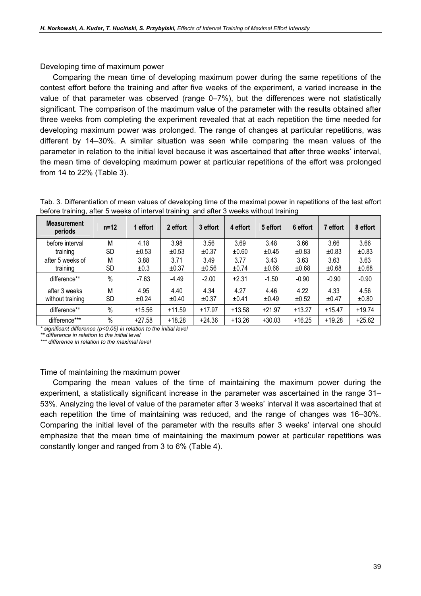Developing time of maximum power

Comparing the mean time of developing maximum power during the same repetitions of the contest effort before the training and after five weeks of the experiment, a varied increase in the value of that parameter was observed (range 0–7%), but the differences were not statistically significant. The comparison of the maximum value of the parameter with the results obtained after three weeks from completing the experiment revealed that at each repetition the time needed for developing maximum power was prolonged. The range of changes at particular repetitions, was different by 14–30%. A similar situation was seen while comparing the mean values of the parameter in relation to the initial level because it was ascertained that after three weeks' interval, the mean time of developing maximum power at particular repetitions of the effort was prolonged from 14 to 22% (Table 3).

| Tab. 3. Differentiation of mean values of developing time of the maximal power in repetitions of the test effort |
|------------------------------------------------------------------------------------------------------------------|
| before training, after 5 weeks of interval training and after 3 weeks without training                           |

| <b>Measurement</b><br>periods | $n=12$    | 1 effort | 2 effort | 3 effort | 4 effort | 5 effort | 6 effort | 7 effort | 8 effort |
|-------------------------------|-----------|----------|----------|----------|----------|----------|----------|----------|----------|
| before interval               | М         | 4.18     | 3.98     | 3.56     | 3.69     | 3.48     | 3.66     | 3.66     | 3.66     |
| training                      | <b>SD</b> | ±0.53    | ±0.53    | ±0.37    | ±0.60    | ±0.45    | ±0.83    | ±0.83    | ±0.83    |
| after 5 weeks of              | М         | 3.88     | 3.71     | 3.49     | 3.77     | 3.43     | 3.63     | 3.63     | 3.63     |
| training                      | <b>SD</b> | ±0.3     | ±0.37    | ±0.56    | ±0.74    | ±0.66    | ±0.68    | ±0.68    | ±0.68    |
| difference**                  | $\%$      | $-7.63$  | $-4.49$  | $-2.00$  | $+2.31$  | $-1.50$  | $-0.90$  | $-0.90$  | $-0.90$  |
| after 3 weeks                 | М         | 4.95     | 4.40     | 4.34     | 4.27     | 4.46     | 4.22     | 4.33     | 4.56     |
| without training              | SD        | ±0.24    | ±0.40    | ±0.37    | ±0.41    | ±0.49    | ±0.52    | ±0.47    | ±0.80    |
| difference**                  | $\%$      | $+15.56$ | $+11.59$ | $+17.97$ | $+13.58$ | $+21.97$ | $+13.27$ | $+15.47$ | $+19.74$ |
| difference***                 | $\%$      | $+27.58$ | $+18.28$ | $+24.36$ | $+13.26$ | $+30.03$ | $+16.25$ | $+19.28$ | $+25.62$ |

 $*$  significant difference ( $p$ <0.05) in relation to the initial level

\*\* difference in relation to the initial level

\*\*\* difference in relation to the maximal level

### Time of maintaining the maximum power

Comparing the mean values of the time of maintaining the maximum power during the experiment, a statistically significant increase in the parameter was ascertained in the range 31– 53%. Analyzing the level of value of the parameter after 3 weeks' interval it was ascertained that at each repetition the time of maintaining was reduced, and the range of changes was 16–30%. Comparing the initial level of the parameter with the results after 3 weeks' interval one should emphasize that the mean time of maintaining the maximum power at particular repetitions was constantly longer and ranged from 3 to 6% (Table 4).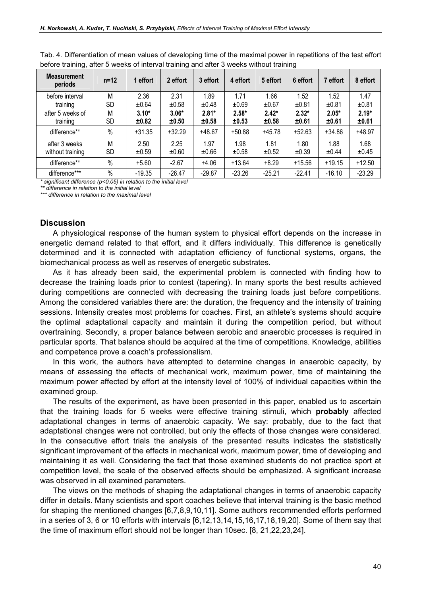| <b>Measurement</b><br>periods | $n=12$ | 1 effort | 2 effort | 3 effort | 4 effort | 5 effort | 6 effort | 7 effort | 8 effort |
|-------------------------------|--------|----------|----------|----------|----------|----------|----------|----------|----------|
| before interval               | M      | 2.36     | 2.31     | 1.89     | 1.71     | 1.66     | 1.52     | 1.52     | 1.47     |
| training                      | SD     | ±0.64    | ±0.58    | ±0.48    | ±0.69    | ±0.67    | ±0.81    | ±0.81    | ±0.81    |
| after 5 weeks of              | М      | $3.10*$  | $3.06*$  | $2.81*$  | $2.58*$  | $2.42*$  | $2.32*$  | $2.05*$  | $2.19*$  |
| training                      | SD     | ±0.82    | ±0.50    | ±0.58    | ±0.53    | ±0.58    | ±0.61    | ±0.61    | ±0.61    |
| difference**                  | $\%$   | $+31.35$ | $+32.29$ | +48.67   | $+50.88$ | $+45.78$ | $+52.63$ | $+34.86$ | $+48.97$ |
| after 3 weeks                 | M      | 2.50     | 2.25     | 1.97     | 1.98     | 1.81     | 1.80     | 1.88     | 1.68     |
| without training              | SD     | ±0.59    | ±0.60    | ±0.66    | ±0.58    | ±0.52    | ±0.39    | ±0.44    | ±0.45    |
| difference**                  | $\%$   | $+5.60$  | $-2.67$  | $+4.06$  | $+13.64$ | $+8.29$  | $+15.56$ | $+19.15$ | $+12.50$ |
| difference***                 | $\%$   | $-19.35$ | $-26.47$ | $-29.87$ | $-23.26$ | $-25.21$ | $-22.41$ | $-16.10$ | $-23.29$ |

Tab. 4. Differentiation of mean values of developing time of the maximal power in repetitions of the test effort before training, after 5 weeks of interval training and after 3 weeks without training

 $*$  significant difference ( $p$ <0.05) in relation to the initial level

\*\* difference in relation to the initial level

\*\*\* difference in relation to the maximal level

## **Discussion**

A physiological response of the human system to physical effort depends on the increase in energetic demand related to that effort, and it differs individually. This difference is genetically determined and it is connected with adaptation efficiency of functional systems, organs, the biomechanical process as well as reserves of energetic substrates.

As it has already been said, the experimental problem is connected with finding how to decrease the training loads prior to contest (tapering). In many sports the best results achieved during competitions are connected with decreasing the training loads just before competitions. Among the considered variables there are: the duration, the frequency and the intensity of training sessions. Intensity creates most problems for coaches. First, an athlete's systems should acquire the optimal adaptational capacity and maintain it during the competition period, but without overtraining. Secondly, a proper balance between aerobic and anaerobic processes is required in particular sports. That balance should be acquired at the time of competitions. Knowledge, abilities and competence prove a coach's professionalism.

In this work, the authors have attempted to determine changes in anaerobic capacity, by means of assessing the effects of mechanical work, maximum power, time of maintaining the maximum power affected by effort at the intensity level of 100% of individual capacities within the examined group.

The results of the experiment, as have been presented in this paper, enabled us to ascertain that the training loads for 5 weeks were effective training stimuli, which probably affected adaptational changes in terms of anaerobic capacity. We say: probably, due to the fact that adaptational changes were not controlled, but only the effects of those changes were considered. In the consecutive effort trials the analysis of the presented results indicates the statistically significant improvement of the effects in mechanical work, maximum power, time of developing and maintaining it as well. Considering the fact that those examined students do not practice sport at competition level, the scale of the observed effects should be emphasized. A significant increase was observed in all examined parameters.

The views on the methods of shaping the adaptational changes in terms of anaerobic capacity differ in details. Many scientists and sport coaches believe that interval training is the basic method for shaping the mentioned changes [6,7,8,9,10,11]. Some authors recommended efforts performed in a series of 3, 6 or 10 efforts with intervals [6,12,13,14,15,16,17,18,19,20]. Some of them say that the time of maximum effort should not be longer than 10sec. [8, 21,22,23,24].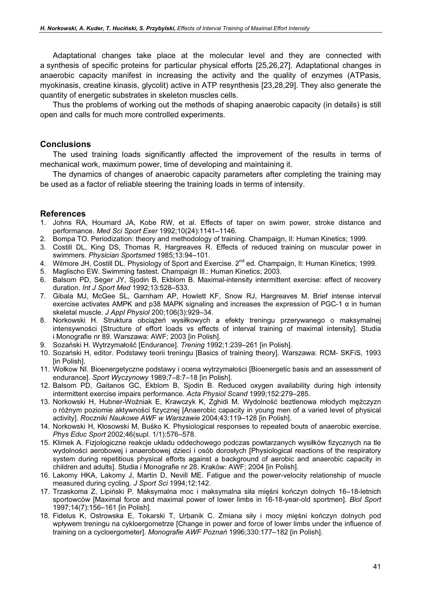Adaptational changes take place at the molecular level and they are connected with a synthesis of specific proteins for particular physical efforts [25,26,27]. Adaptational changes in anaerobic capacity manifest in increasing the activity and the quality of enzymes (ATPasis, myokinasis, creatine kinasis, glycolit) active in ATP resynthesis [23,28,29]. They also generate the quantity of energetic substrates in skeleton muscles cells.

Thus the problems of working out the methods of shaping anaerobic capacity (in details) is still open and calls for much more controlled experiments.

## **Conclusions**

The used training loads significantly affected the improvement of the results in terms of mechanical work, maximum power, time of developing and maintaining it.

The dynamics of changes of anaerobic capacity parameters after completing the training may be used as a factor of reliable steering the training loads in terms of intensity.

## References

- 1. Johns RA, Houmard JA, Kobe RW, et al. Effects of taper on swim power, stroke distance and performance. Med Sci Sport Exer 1992;10(24):1141–1146.
- 2. Bompa TO. Periodization: theory and methodology of training. Champaign, Il: Human Kinetics; 1999.
- 3. Costill DL, King DS, Thomas R, Hargreaves R. Effects of reduced training on muscular power in swimmers. Physician Sportsmed 1985;13:94–101.
- 4. Wilmore JH, Costill DL. Physiology of Sport and Exercise. 2<sup>nd</sup> ed. Champaign, II: Human Kinetics; 1999.
- 5. Maglischo EW. Swimming fastest. Champaign Ill.: Human Kinetics; 2003.
- 6. Balsom PD, Seger JY, Sjodin B, Ekblom B. Maximal-intensity intermittent exercise: effect of recovery duration. Int J Sport Med 1992;13:528–533.
- 7. Gibala MJ, McGee SL, Garnham AP, Howlett KF, Snow RJ, Hargreaves M. Brief intense interval exercise activates AMPK and p38 MAPK signaling and increases the expression of PGC-1  $\alpha$  in human skeletal muscle. J Appl Physiol 200;106(3):929–34.
- 8. Norkowski H. Struktura obciążeń wysiłkowych a efekty treningu przerywanego o maksymalnej intensywności [Structure of effort loads vs effects of interval training of maximal intensity]. Studia i Monografie nr 89. Warszawa: AWF; 2003 [in Polish].
- 9. Sozański H. Wytrzymałość [Endurance]. Trening 1992;1:239–261 [in Polish].
- 10. Sozański H, editor. Podstawy teorii treningu [Basics of training theory]. Warszawa: RCM- SKFiS, 1993 [in Polish].
- 11. Wołkow NI. Bioenergetyczne podstawy i ocena wytrzymałości [Bioenergetic basis and an assessment of endurance]. Sport Wyczynowy 1989;7–8:7–18 [in Polish].
- 12. Balsom PD, Gaitanos GC, Ekblom B, Sjodin B. Reduced oxygen availability during high intensity intermittent exercise impairs performance. Acta Physiol Scand 1999;152:279–285.
- 13. Norkowski H, Hubner-Woźniak E, Krawczyk K, Zghidi M. Wydolność beztlenowa młodych mężczyzn o różnym poziomie aktywności fizycznej [Anaerobic capacity in young men of a varied level of physical activity]. Roczniki Naukowe AWF w Warszawie 2004;43:119–128 [in Polish].
- 14. Norkowski H, Kłosowski M, Buśko K. Physiological responses to repeated bouts of anaerobic exercise. Phys Educ Sport 2002;46(supl. 1/1):576–578.
- 15. Klimek A. Fizjologiczne reakcje układu oddechowego podczas powtarzanych wysiłków fizycznych na tle wydolności aerobowej i anaerobowej dzieci i osób dorosłych [Physiological reactions of the respiratory system during repetitious physical efforts against a background of aerobic and anaerobic capacity in children and adults]. Studia i Monografie nr 28. Kraków: AWF; 2004 [in Polish].
- 16. Lakomy HKA, Lakomy J, Martin D, Nevill ME. Fatigue and the power-velocity relationship of muscle measured during cycling. J Sport Sci 1994;12:142.
- 17. Trzaskoma Z, Lipiński P. Maksymalna moc i maksymalna siła mięśni kończyn dolnych 16–18-letnich sportowców [Maximal force and maximal power of lower limbs in 16-18-year-old sportmen]. Biol Sport 1997;14(7):156–161 [in Polish].
- 18. Fidelus K, Ostrowska E, Tokarski T, Urbanik C. Zmiana siły i mocy mięśni kończyn dolnych pod wpływem treningu na cykloergometrze [Change in power and force of lower limbs under the influence of training on a cycloergometer]. Monografie AWF Poznań 1996;330:177–182 [in Polish].